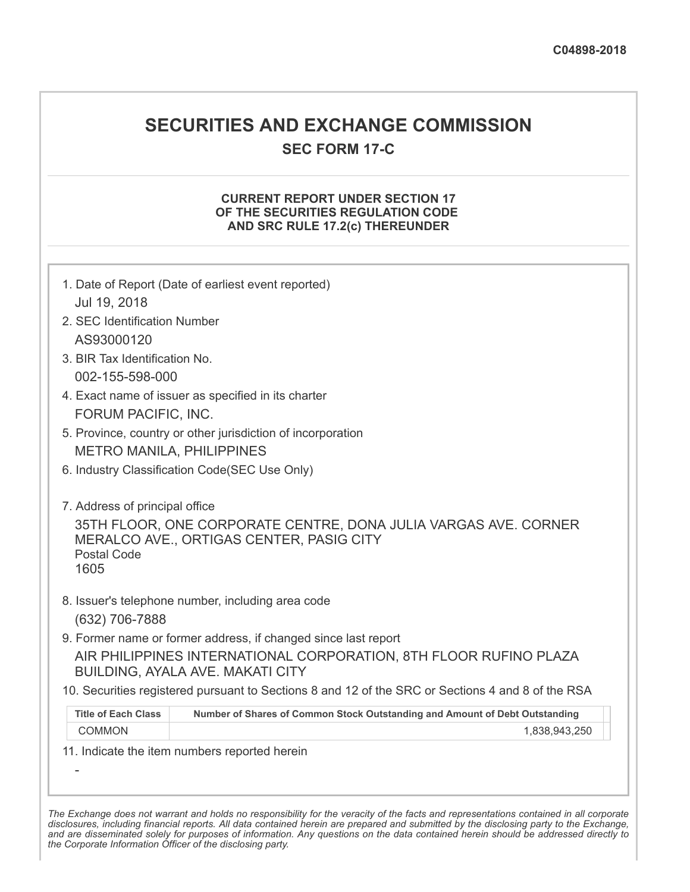# **SECURITIES AND EXCHANGE COMMISSION**

**SEC FORM 17-C**

## **CURRENT REPORT UNDER SECTION 17 OF THE SECURITIES REGULATION CODE AND SRC RULE 17.2(c) THEREUNDER**

| Jul 19, 2018<br>2. SEC Identification Number                 | 1. Date of Report (Date of earliest event reported)                                                                |
|--------------------------------------------------------------|--------------------------------------------------------------------------------------------------------------------|
| AS93000120                                                   |                                                                                                                    |
| 3. BIR Tax Identification No.                                |                                                                                                                    |
| 002-155-598-000                                              |                                                                                                                    |
| FORUM PACIFIC, INC.                                          | 4. Exact name of issuer as specified in its charter                                                                |
|                                                              | 5. Province, country or other jurisdiction of incorporation                                                        |
|                                                              | <b>METRO MANILA, PHILIPPINES</b>                                                                                   |
|                                                              | 6. Industry Classification Code(SEC Use Only)                                                                      |
| 7. Address of principal office<br><b>Postal Code</b><br>1605 | 35TH FLOOR, ONE CORPORATE CENTRE, DONA JULIA VARGAS AVE. CORNER<br><b>MERALCO AVE., ORTIGAS CENTER, PASIG CITY</b> |
| (632) 706-7888                                               | 8. Issuer's telephone number, including area code                                                                  |
|                                                              | 9. Former name or former address, if changed since last report                                                     |
|                                                              | AIR PHILIPPINES INTERNATIONAL CORPORATION, 8TH FLOOR RUFINO PLAZA<br><b>BUILDING, AYALA AVE. MAKATI CITY</b>       |
|                                                              | 10. Securities registered pursuant to Sections 8 and 12 of the SRC or Sections 4 and 8 of the RSA                  |
| <b>Title of Each Class</b>                                   | Number of Shares of Common Stock Outstanding and Amount of Debt Outstanding                                        |
| <b>COMMON</b>                                                | 1,838,943,250                                                                                                      |
|                                                              | 11. Indicate the item numbers reported herein                                                                      |
|                                                              |                                                                                                                    |

The Exchange does not warrant and holds no responsibility for the veracity of the facts and representations contained in all corporate disclosures, including financial reports. All data contained herein are prepared and submitted by the disclosing party to the Exchange, and are disseminated solely for purposes of information. Any questions on the data contained herein should be addressed directly to *the Corporate Information Officer of the disclosing party.*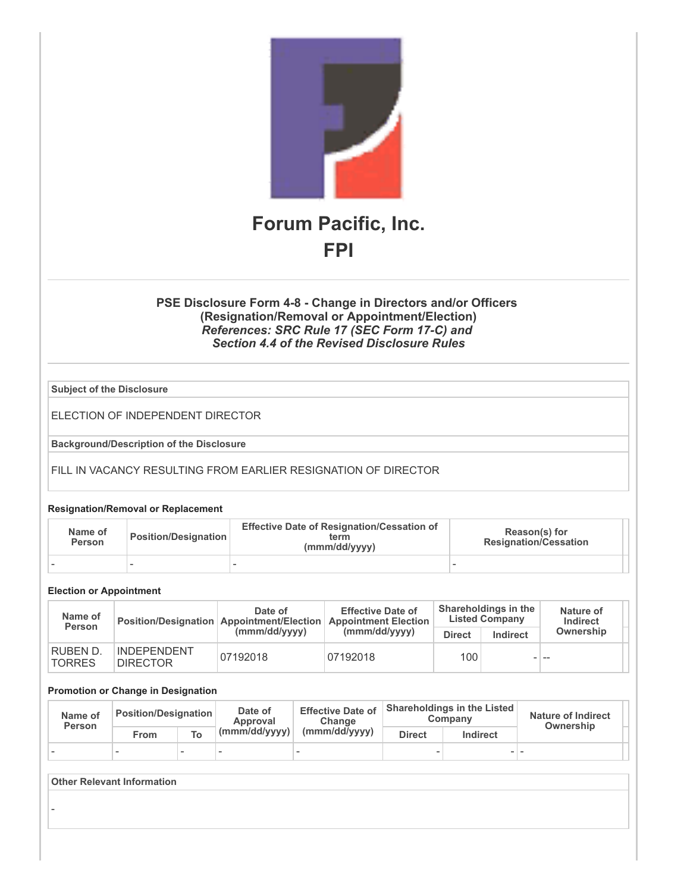

## **PSE Disclosure Form 4-8 - Change in Directors and/or Officers (Resignation/Removal or Appointment/Election)** *References: SRC Rule 17 (SEC Form 17-C) and Section 4.4 of the Revised Disclosure Rules*

**Subject of the Disclosure**

ELECTION OF INDEPENDENT DIRECTOR

**Background/Description of the Disclosure**

FILL IN VACANCY RESULTING FROM EARLIER RESIGNATION OF DIRECTOR

#### **Resignation/Removal or Replacement**

| Name of<br><b>Person</b> | <b>Position/Designation</b> | <b>Effective Date of Resignation/Cessation of</b><br>term<br>(mmm/dd/yyyy) | Reason(s) for<br><b>Resignation/Cessation</b> |  |
|--------------------------|-----------------------------|----------------------------------------------------------------------------|-----------------------------------------------|--|
|                          |                             |                                                                            |                                               |  |

#### **Election or Appointment**

| Name of<br>Person                |                                       | Date of<br>Position/Designation Appointment/Election | <b>Effective Date of</b><br><b>Appointment Election</b> | Shareholdings in the<br><b>Listed Company</b> |          | Nature of<br>Indirect |  |
|----------------------------------|---------------------------------------|------------------------------------------------------|---------------------------------------------------------|-----------------------------------------------|----------|-----------------------|--|
|                                  |                                       | (mmm/dd/vvvv)                                        | (mmm/dd/yyyy)                                           | <b>Direct</b>                                 | Indirect | Ownership             |  |
| <b>RUBEN D.</b><br><b>TORRES</b> | <b>INDEPENDENT</b><br><b>DIRECTOR</b> | 07192018                                             | 07192018                                                | 100 <sub>1</sub>                              |          | - --                  |  |

#### **Promotion or Change in Designation**

| Name of<br>Person | Position/Designation |                          | Date of<br>Approval           | <b>Effective Date of</b><br>Change |               | <b>Shareholdings in the Listed</b><br>Company | <b>Nature of Indirect</b><br>Ownership |  |
|-------------------|----------------------|--------------------------|-------------------------------|------------------------------------|---------------|-----------------------------------------------|----------------------------------------|--|
|                   | From                 |                          | $\vert$ (mmm/dd/yyyy) $\vert$ | (mmm/dd/yyyy)                      | <b>Direct</b> | Indirect                                      |                                        |  |
|                   |                      | $\overline{\phantom{a}}$ |                               |                                    |               |                                               |                                        |  |

### **Other Relevant Information**

-